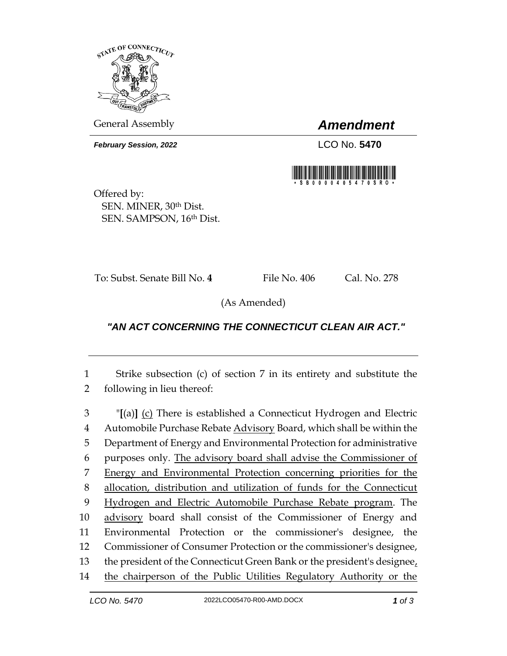

General Assembly *Amendment*

**February Session, 2022** LCO No. 5470



Offered by: SEN. MINER, 30th Dist. SEN. SAMPSON, 16th Dist.

To: Subst. Senate Bill No. 4 File No. 406 Cal. No. 278

(As Amended)

## *"AN ACT CONCERNING THE CONNECTICUT CLEAN AIR ACT."*

 Strike subsection (c) of section 7 in its entirety and substitute the following in lieu thereof:

 "**[**(a)**]** (c) There is established a Connecticut Hydrogen and Electric Automobile Purchase Rebate Advisory Board, which shall be within the Department of Energy and Environmental Protection for administrative purposes only. The advisory board shall advise the Commissioner of Energy and Environmental Protection concerning priorities for the allocation, distribution and utilization of funds for the Connecticut Hydrogen and Electric Automobile Purchase Rebate program. The advisory board shall consist of the Commissioner of Energy and Environmental Protection or the commissioner's designee, the Commissioner of Consumer Protection or the commissioner's designee, the president of the Connecticut Green Bank or the president's designee, the chairperson of the Public Utilities Regulatory Authority or the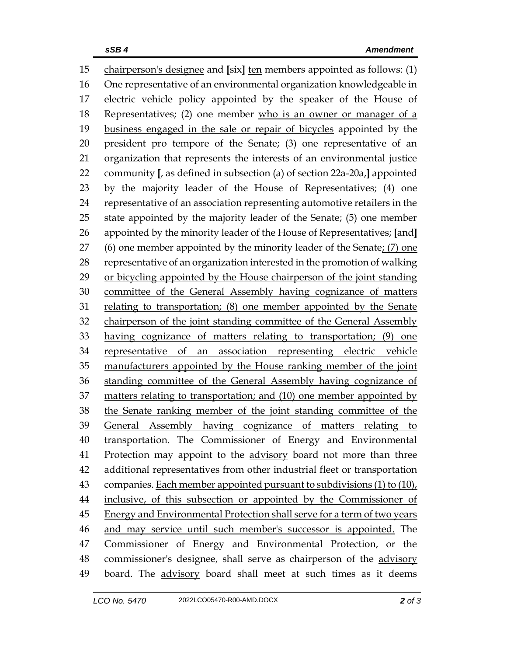chairperson's designee and **[**six**]** ten members appointed as follows: (1) One representative of an environmental organization knowledgeable in electric vehicle policy appointed by the speaker of the House of Representatives; (2) one member who is an owner or manager of a business engaged in the sale or repair of bicycles appointed by the president pro tempore of the Senate; (3) one representative of an organization that represents the interests of an environmental justice community **[**, as defined in subsection (a) of section 22a-20a,**]** appointed by the majority leader of the House of Representatives; (4) one representative of an association representing automotive retailers in the state appointed by the majority leader of the Senate; (5) one member appointed by the minority leader of the House of Representatives; **[**and**]** 27 (6) one member appointed by the minority leader of the Senate;  $(7)$  one representative of an organization interested in the promotion of walking or bicycling appointed by the House chairperson of the joint standing committee of the General Assembly having cognizance of matters relating to transportation; (8) one member appointed by the Senate chairperson of the joint standing committee of the General Assembly having cognizance of matters relating to transportation; (9) one representative of an association representing electric vehicle manufacturers appointed by the House ranking member of the joint standing committee of the General Assembly having cognizance of 37 matters relating to transportation; and (10) one member appointed by the Senate ranking member of the joint standing committee of the General Assembly having cognizance of matters relating to transportation. The Commissioner of Energy and Environmental Protection may appoint to the advisory board not more than three additional representatives from other industrial fleet or transportation 43 companies. Each member appointed pursuant to subdivisions (1) to (10), inclusive, of this subsection or appointed by the Commissioner of 45 Energy and Environmental Protection shall serve for a term of two years and may service until such member's successor is appointed. The Commissioner of Energy and Environmental Protection, or the commissioner's designee, shall serve as chairperson of the advisory 49 board. The advisory board shall meet at such times as it deems